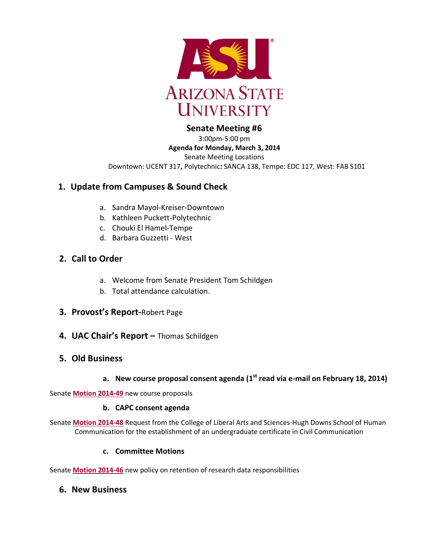

#### **Senate Meeting #6** 3:00pm-5:00 pm

**Agenda for Monday, March 3, 2014** Senate Meeting Locations Downtown: UCENT 317**,** Polytechnic**:** SANCA 138, Tempe: EDC 117, West: FAB S101

# **1. Update from Campuses & Sound Check**

- a. Sandra Mayol-Kreiser-Downtown
- b. Kathleen Puckett-Polytechnic
- c. Chouki El Hamel-Tempe
- d. Barbara Guzzetti West

## **2. Call to Order**

- a. Welcome from Senate President Tom Schildgen
- b. Total attendance calculation.
- **3. Provost's Report-**Robert Page
- **4. UAC Chair's Report –** Thomas Schildgen
- **5. Old Business**

# **a. New course proposal consent agenda (1st read via e-mail on February 18, 2014)**

Senate **[Motion 2014-49](http://usenate.asu.edu/node/4902)** new course proposals

## **b. CAPC consent agenda**

Senate **[Motion 2014-48](http://usenate.asu.edu/node/4884)** Request from the College of Liberal Arts and Sciences-Hugh Downs School of Human Communication for the establishment of an undergraduate certificate in Civil Communication

## **c. Committee Motions**

Senate **[Motion 2014-46](http://usenate.asu.edu/node/4882)** new policy on retention of research data responsibilities

## **6. New Business**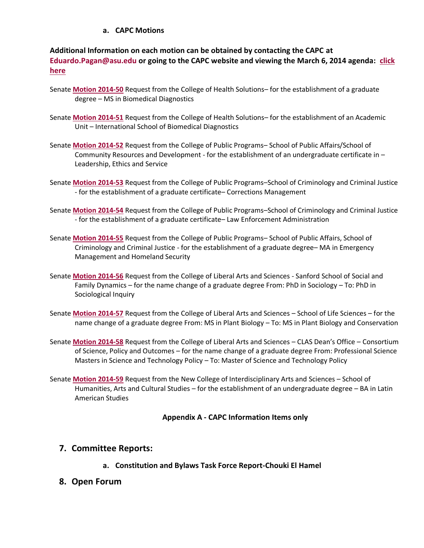#### **a. CAPC Motions**

## **Additional Information on each motion can be obtained by contacting the CAPC at [Eduardo.Pagan@asu.edu](mailto:Eduardo.Pagan@asu.edu) or going to the CAPC website and viewing the March 6, 2014 agenda: [click](https://provost.asu.edu/capc/agenda)  [here](https://provost.asu.edu/capc/agenda)**

- Senate **[Motion 2014-50](http://usenate.asu.edu/node/4905)** Request from the College of Health Solutions– for the establishment of a graduate degree – MS in Biomedical Diagnostics
- Senate **[Motion 2014-51](http://usenate.asu.edu/node/4906)** Request from the College of Health Solutions– for the establishment of an Academic Unit – International School of Biomedical Diagnostics
- Senate **[Motion 2014-52](http://usenate.asu.edu/node/4907)** Request from the College of Public Programs– School of Public Affairs/School of Community Resources and Development - for the establishment of an undergraduate certificate in – Leadership, Ethics and Service
- Senate **[Motion 2014-53](http://usenate.asu.edu/node/4908)** Request from the College of Public Programs–School of Criminology and Criminal Justice - for the establishment of a graduate certificate– Corrections Management
- Senate **[Motion 2014-54](http://usenate.asu.edu/node/4909)** Request from the College of Public Programs–School of Criminology and Criminal Justice - for the establishment of a graduate certificate– Law Enforcement Administration
- Senate **[Motion 2014-55](http://usenate.asu.edu/node/4910)** Request from the College of Public Programs– School of Public Affairs, School of Criminology and Criminal Justice - for the establishment of a graduate degree– MA in Emergency Management and Homeland Security
- Senate **[Motion 2014-56](http://usenate.asu.edu/node/4912)** Request from the College of Liberal Arts and Sciences Sanford School of Social and Family Dynamics – for the name change of a graduate degree From: PhD in Sociology – To: PhD in Sociological Inquiry
- Senate **[Motion 2014-57](http://usenate.asu.edu/node/4913)** Request from the College of Liberal Arts and Sciences School of Life Sciences for the name change of a graduate degree From: MS in Plant Biology – To: MS in Plant Biology and Conservation
- Senate **[Motion 2014-58](http://usenate.asu.edu/node/4914)** Request from the College of Liberal Arts and Sciences CLAS Dean's Office Consortium of Science, Policy and Outcomes – for the name change of a graduate degree From: Professional Science Masters in Science and Technology Policy – To: Master of Science and Technology Policy
- Senate **[Motion 2014-59](http://usenate.asu.edu/node/4915)** Request from the New College of Interdisciplinary Arts and Sciences School of Humanities, Arts and Cultural Studies – for the establishment of an undergraduate degree – BA in Latin American Studies

#### **Appendix A - CAPC Information Items only**

## **7. Committee Reports:**

- **a. Constitution and Bylaws Task Force Report-Chouki El Hamel**
- **8. Open Forum**